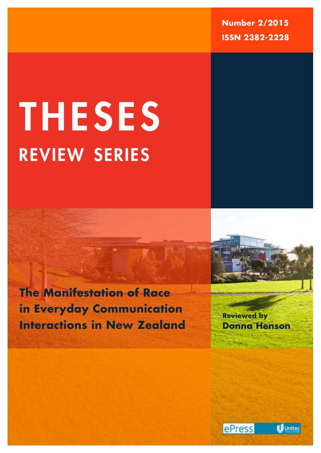**Number 2/2015 ISSN 2382-2228**

# review series THESES

**The Manifestation of Race in Everyday Communication Interactions in New Zealand**

**Reviewed by Donna Henson**





**1**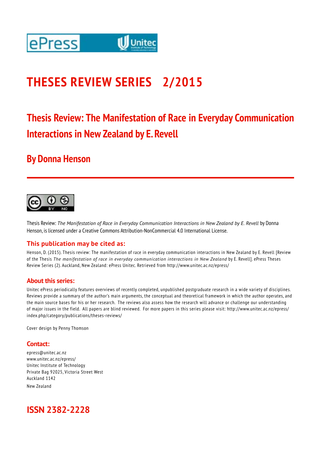

# **THESES REVIEW SERIES 2/2015**

# **Thesis Review: The Manifestation of Race in Everyday Communication Interactions in New Zealand by E. Revell**

#### **By Donna Henson**



Thesis Review: *The Manifestation of Race in Everyday Communication Interactions in New Zealand by E. Revell* by Donna Henson, is licensed under a Creative Commons Attribution-NonCommercial 4.0 International License.

#### **This publication may be cited as:**

Henson, D. (2015). Thesis review: The manifestation of race in everyday communication interactions in New Zealand by E. Revell [Review of the Thesis *The manifestation of race in everyday communication interactions in New Zealand* by E. Revell]. ePress Theses Review Series (2). Auckland, New Zealand: ePress Unitec. Retrieved from http://www.unitec.ac.nz/epress/

#### **About this series:**

Unitec ePress periodically features overviews of recently completed, unpublished postgraduate research in a wide variety of disciplines. Reviews provide a summary of the author's main arguments, the conceptual and theoretical framework in which the author operates, and the main source bases for his or her research. The reviews also assess how the research will advance or challenge our understanding of major issues in the field. All papers are blind reviewed. For more papers in this series please visit: http://www.unitec.ac.nz/epress/ index.php/category/publications/theses-reviews/

Cover design by Penny Thomson

#### **Contact:**

epress@unitec.ac.nz www.unitec.ac.nz/epress/ Unitec Institute of Technology Private Bag 92025, Victoria Street West Auckland 1142 New Zealand

#### **ISSN 2382-2228**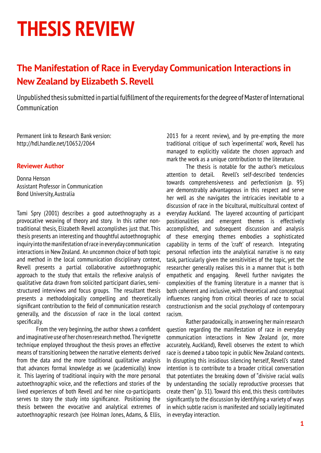# **THESIS REVIEW**

### **The Manifestation of Race in Everyday Communication Interactions in New Zealand by Elizabeth S. Revell**

Unpublished thesis submitted in partial fulfillment of the requirements for the degree of Master of International Communication

Permanent link to Research Bank version: http://hdl.handle.net/10652/2064

#### **Reviewer Author**

Donna Henson Assistant Professor in Communication Bond University, Australia

Tami Spry (2001) describes a good autoethnography as a provocative weaving of theory and story. In this rather nontraditional thesis, Elizabeth Revell accomplishes just that. This thesis presents an interesting and thoughtful autoethnographic inquiry into the manifestation of race in everyday communication interactions in New Zealand. An uncommon choice of both topic and method in the local communication disciplinary context, Revell presents a partial collaborative autoethnographic approach to the study that entails the reflexive analysis of qualitative data drawn from solicited participant diaries, semistructured interviews and focus groups. The resultant thesis presents a methodologically compelling and theoretically significant contribution to the field of communication research generally, and the discussion of race in the local context specifically.

From the very beginning, the author shows a confident and imaginative use of her chosen research method. The vignette technique employed throughout the thesis proves an effective means of transitioning between the narrative elements derived from the data and the more traditional qualitative analysis that advances formal knowledge as we (academically) know it. This layering of traditional inquiry with the more personal autoethnographic voice, and the reflections and stories of the lived experiences of both Revell and her nine co-participants serves to story the study into significance. Positioning the thesis between the evocative and analytical extremes of autoethnographic research (see Holman Jones, Adams, & Ellis,

2013 for a recent review), and by pre-empting the more traditional critique of such 'experimental' work, Revell has managed to explicitly validate the chosen approach and mark the work as a unique contribution to the literature.

The thesis is notable for the author's meticulous attention to detail. Revell's self-described tendencies towards comprehensiveness and perfectionism (p. 95) are demonstrably advantageous in this respect and serve her well as she navigates the intricacies inevitable to a discussion of race in the bicultural, multicultural context of everyday Auckland. The layered accounting of participant positionalities and emergent themes is effectively accomplished, and subsequent discussion and analysis of these emerging themes embodies a sophisticated capability in terms of the 'craft' of research. Integrating personal reflection into the analytical narrative is no easy task, particularly given the sensitivities of the topic, yet the researcher generally realises this in a manner that is both empathetic and engaging. Revell further navigates the complexities of the framing literature in a manner that is both coherent and inclusive, with theoretical and conceptual influences ranging from critical theories of race to social constructionism and the social psychology of contemporary racism.

Rather paradoxically, in answering her main research question regarding the manifestation of race in everyday communication interactions in New Zealand (or, more accurately, Auckland), Revell observes the extent to which race is deemed a taboo topic in public New Zealand contexts. In disrupting this insidious silencing herself, Revell's stated intention is to contribute to a broader critical conversation that potentiates the breaking down of "divisive racial walls by understanding the socially reproductive processes that create them" (p. 31). Toward this end, this thesis contributes significantly to the discussion by identifying a variety of ways in which subtle racism is manifested and socially legitimated in everyday interaction.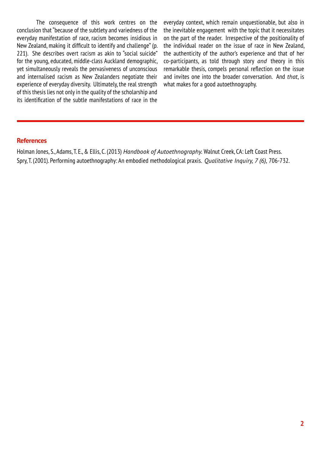The consequence of this work centres on the conclusion that "because of the subtlety and variedness of the everyday manifestation of race, racism becomes insidious in New Zealand, making it difficult to identify and challenge" (p. 221). She describes overt racism as akin to "social suicide" for the young, educated, middle-class Auckland demographic, yet simultaneously reveals the pervasiveness of unconscious and internalised racism as New Zealanders negotiate their experience of everyday diversity. Ultimately, the real strength of this thesis lies not only in the quality of the scholarship and its identification of the subtle manifestations of race in the

everyday context, which remain unquestionable, but also in the inevitable engagement with the topic that it necessitates on the part of the reader. Irrespective of the positionality of the individual reader on the issue of race in New Zealand, the authenticity of the author's experience and that of her co-participants, as told through story *and* theory in this remarkable thesis, compels personal reflection on the issue and invites one into the broader conversation. And *that*, is what makes for a good autoethnography.

#### **References**

Holman Jones, S., Adams, T. E., & Ellis, C. (2013) *Handbook of Autoethnography.* Walnut Creek, CA: Left Coast Press. Spry, T. (2001). Performing autoethnography: An embodied methodological praxis. *Qualitative Inquiry, 7 (6),* 706-732.